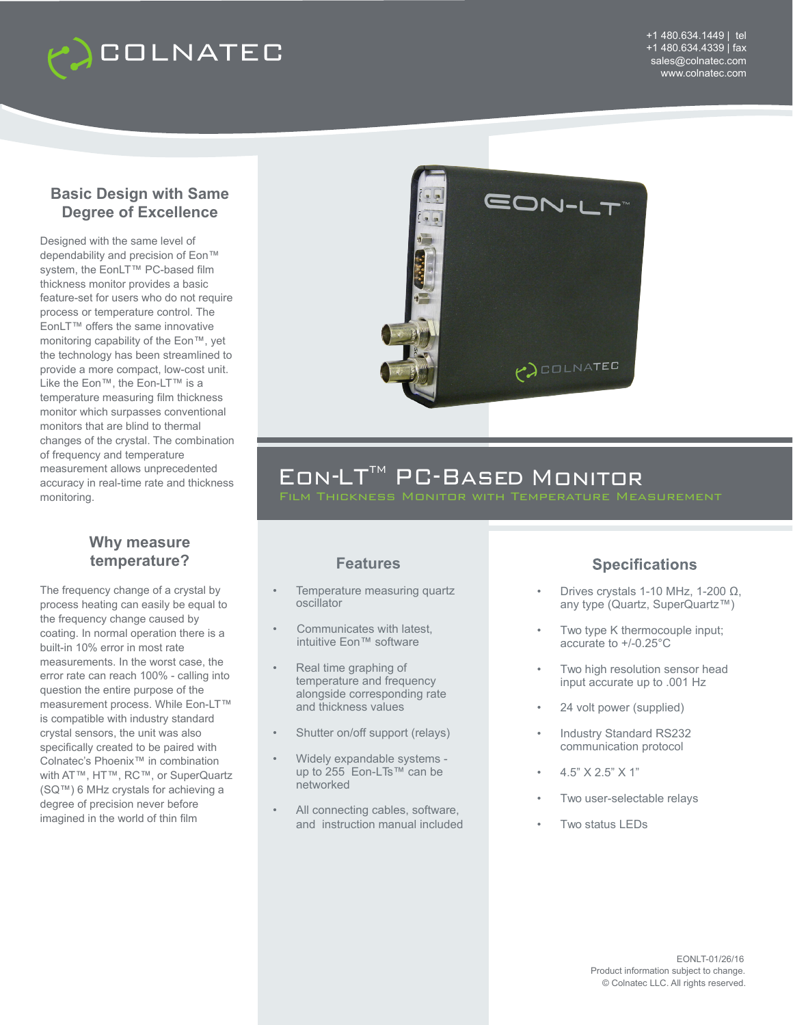

### **Basic Design with Same Degree of Excellence**

Designed with the same level of dependability and precision of Eon™ system, the EonLT<sup>™</sup> PC-based film thickness monitor provides a basic feature-set for users who do not require process or temperature control. The EonLT™ offers the same innovative monitoring capability of the Eon™, yet the technology has been streamlined to provide a more compact, low-cost unit. Like the Eon™, the Eon-LT™ is a temperature measuring film thickness monitor which surpasses conventional monitors that are blind to thermal changes of the crystal. The combination of frequency and temperature measurement allows unprecedented accuracy in real-time rate and thickness monitoring.

#### **Why measure temperature?**

The frequency change of a crystal by process heating can easily be equal to the frequency change caused by coating. In normal operation there is a built-in 10% error in most rate measurements. In the worst case, the error rate can reach 100% - calling into question the entire purpose of the measurement process. While Eon-LT™ is compatible with industry standard crystal sensors, the unit was also specifically created to be paired with Colnatec's Phoenix™ in combination with AT™, HT™, RC™, or SuperQuartz (SQ™) 6 MHz crystals for achieving a degree of precision never before imagined in the world of thin film



# EON-LT™ PC-BASED MONITOR

### **Features**

- Temperature measuring quartz oscillator
- Communicates with latest, intuitive Eon™ software
- Real time graphing of temperature and frequency alongside corresponding rate and thickness values
- Shutter on/off support (relays)
- Widely expandable systems up to 255 Eon-LTs™ can be networked
- All connecting cables, software, and instruction manual included

### **Specifications**

- Drives crystals 1-10 MHz, 1-200 Ω, any type (Quartz, SuperQuartz™)
- Two type K thermocouple input; accurate to +/-0.25°C
- Two high resolution sensor head input accurate up to .001 Hz
- 24 volt power (supplied)
- Industry Standard RS232 communication protocol
- 4.5" X 2.5" X 1"
- Two user-selectable relays
- Two status LEDs